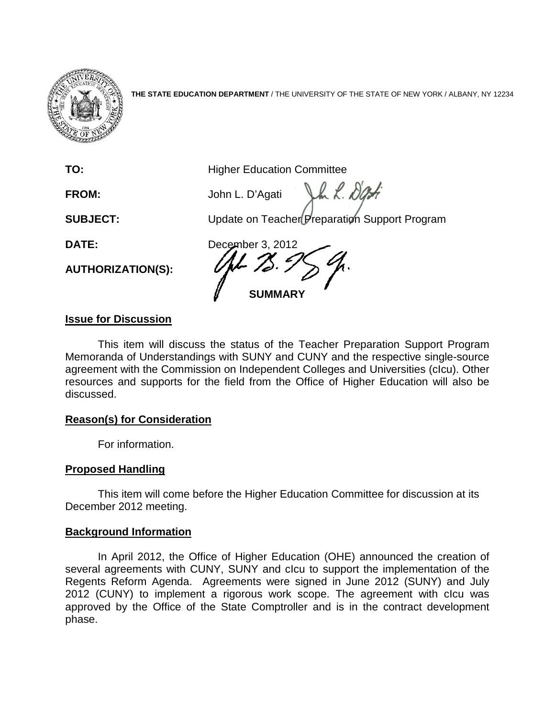

**THE STATE EDUCATION DEPARTMENT** / THE UNIVERSITY OF THE STATE OF NEW YORK / ALBANY, NY 12234

**TO:** Higher Education Committee

Jul. Das **FROM:** John L. D'Agati

**SUBJECT:** Update on Teacher Preparation Support Program

**AUTHORIZATION(S):**

**DATE:** December 3, 2012 **SUMMARY**

# **Issue for Discussion**

This item will discuss the status of the Teacher Preparation Support Program Memoranda of Understandings with SUNY and CUNY and the respective single-source agreement with the Commission on Independent Colleges and Universities (cIcu). Other resources and supports for the field from the Office of Higher Education will also be discussed.

## **Reason(s) for Consideration**

For information.

## **Proposed Handling**

This item will come before the Higher Education Committee for discussion at its December 2012 meeting.

## **Background Information**

In April 2012, the Office of Higher Education (OHE) announced the creation of several agreements with CUNY, SUNY and cIcu to support the implementation of the Regents Reform Agenda. Agreements were signed in June 2012 (SUNY) and July 2012 (CUNY) to implement a rigorous work scope. The agreement with cIcu was approved by the Office of the State Comptroller and is in the contract development phase.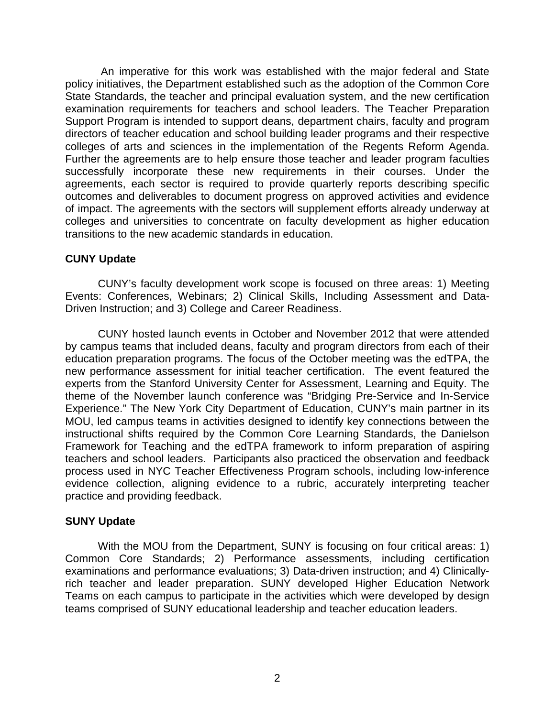An imperative for this work was established with the major federal and State policy initiatives, the Department established such as the adoption of the Common Core State Standards, the teacher and principal evaluation system, and the new certification examination requirements for teachers and school leaders. The Teacher Preparation Support Program is intended to support deans, department chairs, faculty and program directors of teacher education and school building leader programs and their respective colleges of arts and sciences in the implementation of the Regents Reform Agenda. Further the agreements are to help ensure those teacher and leader program faculties successfully incorporate these new requirements in their courses. Under the agreements, each sector is required to provide quarterly reports describing specific outcomes and deliverables to document progress on approved activities and evidence of impact. The agreements with the sectors will supplement efforts already underway at colleges and universities to concentrate on faculty development as higher education transitions to the new academic standards in education.

## **CUNY Update**

CUNY's faculty development work scope is focused on three areas: 1) Meeting Events: Conferences, Webinars; 2) Clinical Skills, Including Assessment and Data-Driven Instruction; and 3) College and Career Readiness.

CUNY hosted launch events in October and November 2012 that were attended by campus teams that included deans, faculty and program directors from each of their education preparation programs. The focus of the October meeting was the edTPA, the new performance assessment for initial teacher certification. The event featured the experts from the Stanford University Center for Assessment, Learning and Equity. The theme of the November launch conference was "Bridging Pre-Service and In-Service Experience." The New York City Department of Education, CUNY's main partner in its MOU, led campus teams in activities designed to identify key connections between the instructional shifts required by the Common Core Learning Standards, the Danielson Framework for Teaching and the edTPA framework to inform preparation of aspiring teachers and school leaders. Participants also practiced the observation and feedback process used in NYC Teacher Effectiveness Program schools, including low-inference evidence collection, aligning evidence to a rubric, accurately interpreting teacher practice and providing feedback.

## **SUNY Update**

With the MOU from the Department, SUNY is focusing on four critical areas: 1) Common Core Standards; 2) Performance assessments, including certification examinations and performance evaluations; 3) Data-driven instruction; and 4) Clinicallyrich teacher and leader preparation. SUNY developed Higher Education Network Teams on each campus to participate in the activities which were developed by design teams comprised of SUNY educational leadership and teacher education leaders.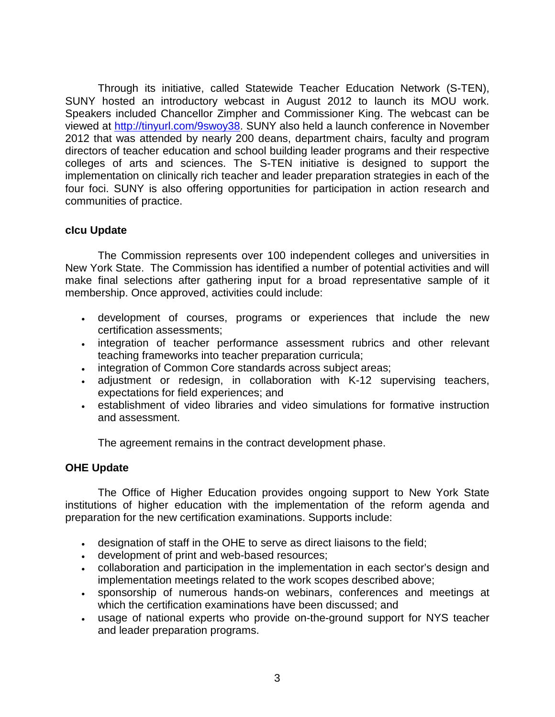Through its initiative, called Statewide Teacher Education Network (S-TEN), SUNY hosted an introductory webcast in August 2012 to launch its MOU work. Speakers included Chancellor Zimpher and Commissioner King. The webcast can be viewed at [http://tinyurl.com/9swoy38.](http://tinyurl.com/9swoy38) SUNY also held a launch conference in November 2012 that was attended by nearly 200 deans, department chairs, faculty and program directors of teacher education and school building leader programs and their respective colleges of arts and sciences. The S-TEN initiative is designed to support the implementation on clinically rich teacher and leader preparation strategies in each of the four foci. SUNY is also offering opportunities for participation in action research and communities of practice.

## **cIcu Update**

The Commission represents over 100 independent colleges and universities in New York State. The Commission has identified a number of potential activities and will make final selections after gathering input for a broad representative sample of it membership. Once approved, activities could include:

- development of courses, programs or experiences that include the new certification assessments;
- integration of teacher performance assessment rubrics and other relevant teaching frameworks into teacher preparation curricula;
- integration of Common Core standards across subject areas;
- adjustment or redesign, in collaboration with K-12 supervising teachers, expectations for field experiences; and
- establishment of video libraries and video simulations for formative instruction and assessment.

The agreement remains in the contract development phase.

## **OHE Update**

The Office of Higher Education provides ongoing support to New York State institutions of higher education with the implementation of the reform agenda and preparation for the new certification examinations. Supports include:

- designation of staff in the OHE to serve as direct liaisons to the field;
- development of print and web-based resources;
- collaboration and participation in the implementation in each sector's design and implementation meetings related to the work scopes described above;
- sponsorship of numerous hands-on webinars, conferences and meetings at which the certification examinations have been discussed; and
- usage of national experts who provide on-the-ground support for NYS teacher and leader preparation programs.